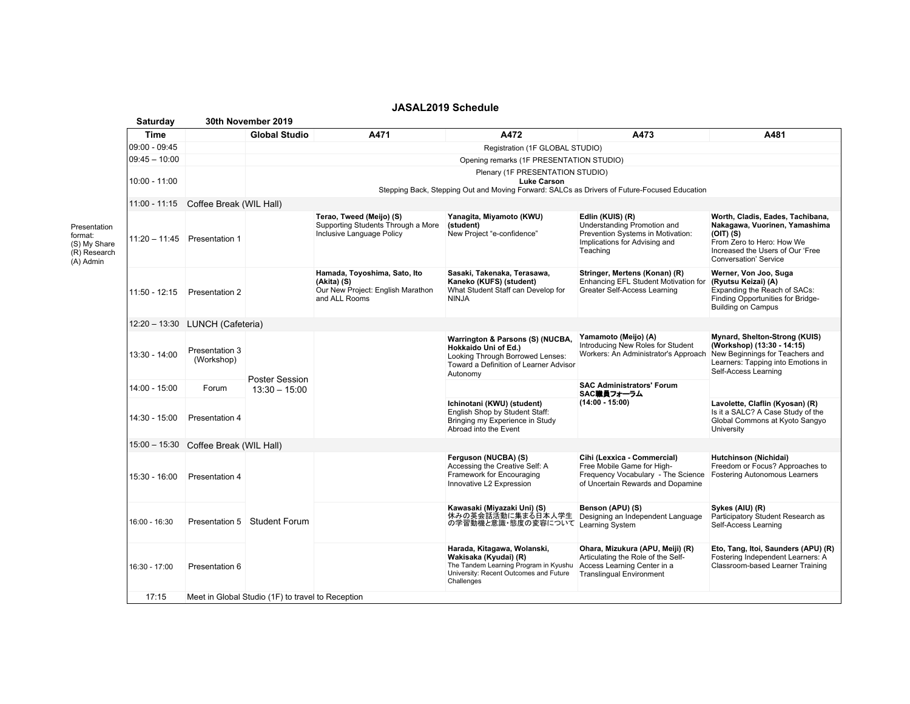|                                                                      | Saturday        | 30th November 2019                    |                                                                                                                                                        |                                                                                                   |                                                                                                                                                       |                                                                                                                                          |                                                                                                                                                                                     |  |  |  |
|----------------------------------------------------------------------|-----------------|---------------------------------------|--------------------------------------------------------------------------------------------------------------------------------------------------------|---------------------------------------------------------------------------------------------------|-------------------------------------------------------------------------------------------------------------------------------------------------------|------------------------------------------------------------------------------------------------------------------------------------------|-------------------------------------------------------------------------------------------------------------------------------------------------------------------------------------|--|--|--|
|                                                                      | Time            |                                       | <b>Global Studio</b>                                                                                                                                   | A471                                                                                              | A472                                                                                                                                                  | A473                                                                                                                                     | A481                                                                                                                                                                                |  |  |  |
|                                                                      | $09:00 - 09:45$ |                                       | Registration (1F GLOBAL STUDIO)                                                                                                                        |                                                                                                   |                                                                                                                                                       |                                                                                                                                          |                                                                                                                                                                                     |  |  |  |
|                                                                      | $09:45 - 10:00$ |                                       | Opening remarks (1F PRESENTATION STUDIO)                                                                                                               |                                                                                                   |                                                                                                                                                       |                                                                                                                                          |                                                                                                                                                                                     |  |  |  |
|                                                                      | $10:00 - 11:00$ |                                       | Plenary (1F PRESENTATION STUDIO)<br><b>Luke Carson</b><br>Stepping Back, Stepping Out and Moving Forward: SALCs as Drivers of Future-Focused Education |                                                                                                   |                                                                                                                                                       |                                                                                                                                          |                                                                                                                                                                                     |  |  |  |
|                                                                      |                 | 11:00 - 11:15 Coffee Break (WIL Hall) |                                                                                                                                                        |                                                                                                   |                                                                                                                                                       |                                                                                                                                          |                                                                                                                                                                                     |  |  |  |
| Presentation<br>format:<br>(S) My Share<br>(R) Research<br>(A) Admin | $11:20 - 11:45$ | Presentation 1                        |                                                                                                                                                        | Terao, Tweed (Meijo) (S)<br>Supporting Students Through a More<br>Inclusive Language Policy       | Yanagita, Miyamoto (KWU)<br>(student)<br>New Project "e-confidence"                                                                                   | Edlin (KUIS) (R)<br>Understanding Promotion and<br>Prevention Systems in Motivation:<br>Implications for Advising and<br>Teaching        | Worth, Cladis, Eades, Tachibana,<br>Nakagawa, Vuorinen, Yamashima<br>$(OIT)$ $(S)$<br>From Zero to Hero: How We<br>Increased the Users of Our 'Free<br><b>Conversation' Service</b> |  |  |  |
|                                                                      | 11:50 - 12:15   | Presentation 2                        |                                                                                                                                                        | Hamada, Toyoshima, Sato, Ito<br>(Akita) (S)<br>Our New Project: English Marathon<br>and ALL Rooms | Sasaki, Takenaka, Terasawa,<br>Kaneko (KUFS) (student)<br>What Student Staff can Develop for<br><b>NINJA</b>                                          | Stringer, Mertens (Konan) (R)<br>Enhancing EFL Student Motivation for<br>Greater Self-Access Learning                                    | Werner, Von Joo, Suga<br>(Ryutsu Keizai) (A)<br>Expanding the Reach of SACs:<br>Finding Opportunities for Bridge-<br><b>Building on Campus</b>                                      |  |  |  |
|                                                                      |                 | 12:20 - 13:30 LUNCH (Cafeteria)       |                                                                                                                                                        |                                                                                                   |                                                                                                                                                       |                                                                                                                                          |                                                                                                                                                                                     |  |  |  |
|                                                                      | 13:30 - 14:00   | Presentation 3<br>(Workshop)          | <b>Poster Session</b><br>$13:30 - 15:00$                                                                                                               |                                                                                                   | Warrington & Parsons (S) (NUCBA,<br>Hokkaido Uni of Ed.)<br>Looking Through Borrowed Lenses:<br>Toward a Definition of Learner Advisor<br>Autonomy    | Yamamoto (Meijo) (A)<br>Introducing New Roles for Student<br>Workers: An Administrator's Approach                                        | Mynard, Shelton-Strong (KUIS)<br>(Workshop) (13:30 - 14:15)<br>New Beginnings for Teachers and<br>Learners: Tapping into Emotions in<br>Self-Access Learning                        |  |  |  |
|                                                                      | $14:00 - 15:00$ | Forum                                 |                                                                                                                                                        |                                                                                                   |                                                                                                                                                       | <b>SAC Administrators' Forum</b><br>SAC職員フォーラム<br>$(14:00 - 15:00)$                                                                      |                                                                                                                                                                                     |  |  |  |
|                                                                      | 14:30 - 15:00   | Presentation 4                        |                                                                                                                                                        |                                                                                                   | Ichinotani (KWU) (student)<br>English Shop by Student Staff:<br>Bringing my Experience in Study<br>Abroad into the Event                              |                                                                                                                                          | Lavolette, Claflin (Kyosan) (R)<br>Is it a SALC? A Case Study of the<br>Global Commons at Kyoto Sangyo<br>University                                                                |  |  |  |
|                                                                      |                 | 15:00 - 15:30 Coffee Break (WIL Hall) |                                                                                                                                                        |                                                                                                   |                                                                                                                                                       |                                                                                                                                          |                                                                                                                                                                                     |  |  |  |
|                                                                      | 15:30 - 16:00   | Presentation 4                        | <b>Student Forum</b>                                                                                                                                   |                                                                                                   | Ferguson (NUCBA) (S)<br>Accessing the Creative Self: A<br>Framework for Encouraging<br>Innovative L2 Expression                                       | Cihi (Lexxica - Commercial)<br>Free Mobile Game for High-<br>Frequency Vocabulary - The Science<br>of Uncertain Rewards and Dopamine     | Hutchinson (Nichidai)<br>Freedom or Focus? Approaches to<br><b>Fostering Autonomous Learners</b>                                                                                    |  |  |  |
|                                                                      | 16:00 - 16:30   | Presentation 5                        |                                                                                                                                                        |                                                                                                   | Kawasaki (Miyazaki Uni) (S)<br>休みの英会話活動に集まる日本人学生<br>の学習動機と意識・態度の変容について Learning System                                                                | Benson (APU) (S)<br>Designing an Independent Language                                                                                    | Sykes (AIU) (R)<br>Participatory Student Research as<br>Self-Access Learning                                                                                                        |  |  |  |
|                                                                      | 16:30 - 17:00   | Presentation 6                        |                                                                                                                                                        |                                                                                                   | Harada, Kitagawa, Wolanski,<br>Wakisaka (Kyudai) (R)<br>The Tandem Learning Program in Kyushu<br>University: Recent Outcomes and Future<br>Challenges | Ohara, Mizukura (APU, Meiji) (R)<br>Articulating the Role of the Self-<br>Access Learning Center in a<br><b>Translingual Environment</b> | Eto, Tang, Itoi, Saunders (APU) (R)<br>Fostering Independent Learners: A<br>Classroom-based Learner Training                                                                        |  |  |  |
|                                                                      | 17:15           |                                       | Meet in Global Studio (1F) to travel to Reception                                                                                                      |                                                                                                   |                                                                                                                                                       |                                                                                                                                          |                                                                                                                                                                                     |  |  |  |
|                                                                      |                 |                                       |                                                                                                                                                        |                                                                                                   |                                                                                                                                                       |                                                                                                                                          |                                                                                                                                                                                     |  |  |  |

## **JASAL2019 Schedule**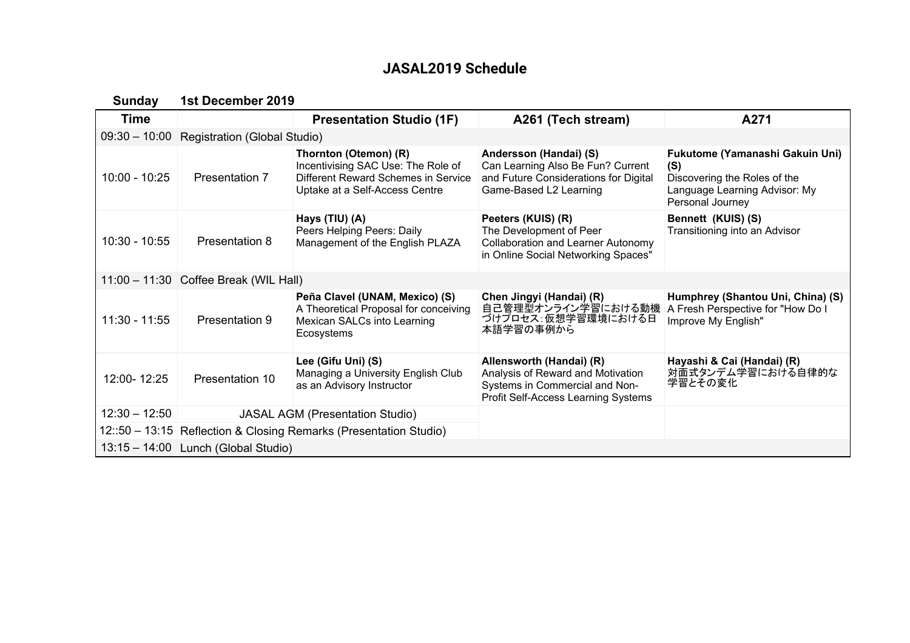# **JASAL2019 Schedule**

**Sunday 1st December 2019**

| <b>Time</b>     |                                       | <b>Presentation Studio (1F)</b>                                                                                                      | A261 (Tech stream)                                                                                                                     | A271                                                                                                                        |  |  |  |  |
|-----------------|---------------------------------------|--------------------------------------------------------------------------------------------------------------------------------------|----------------------------------------------------------------------------------------------------------------------------------------|-----------------------------------------------------------------------------------------------------------------------------|--|--|--|--|
| $09:30 - 10:00$ | Registration (Global Studio)          |                                                                                                                                      |                                                                                                                                        |                                                                                                                             |  |  |  |  |
| $10:00 - 10:25$ | Presentation 7                        | Thornton (Otemon) (R)<br>Incentivising SAC Use: The Role of<br>Different Reward Schemes in Service<br>Uptake at a Self-Access Centre | Andersson (Handai) (S)<br>Can Learning Also Be Fun? Current<br>and Future Considerations for Digital<br>Game-Based L2 Learning         | Fukutome (Yamanashi Gakuin Uni)<br>(S)<br>Discovering the Roles of the<br>Language Learning Advisor: My<br>Personal Journey |  |  |  |  |
| $10:30 - 10:55$ | <b>Presentation 8</b>                 | Hays (TIU) (A)<br>Peers Helping Peers: Daily<br>Management of the English PLAZA                                                      | Peeters (KUIS) (R)<br>The Development of Peer<br><b>Collaboration and Learner Autonomy</b><br>in Online Social Networking Spaces"      | Bennett (KUIS) (S)<br>Transitioning into an Advisor                                                                         |  |  |  |  |
|                 | 11:00 - 11:30 Coffee Break (WIL Hall) |                                                                                                                                      |                                                                                                                                        |                                                                                                                             |  |  |  |  |
| $11:30 - 11:55$ | Presentation 9                        | Peña Clavel (UNAM, Mexico) (S)<br>A Theoretical Proposal for conceiving<br>Mexican SALCs into Learning<br>Ecosystems                 | Chen Jingyi (Handai) (R)<br>自己管理型オンライン学習における動機<br>づけプロセス:仮想学習環境における日<br>本語学習の事例から                                                      | Humphrey (Shantou Uni, China) (S)<br>A Fresh Perspective for "How Do I<br>Improve My English"                               |  |  |  |  |
| 12:00-12:25     | Presentation 10                       | Lee (Gifu Uni) (S)<br>Managing a University English Club<br>as an Advisory Instructor                                                | Allensworth (Handai) (R)<br>Analysis of Reward and Motivation<br>Systems in Commercial and Non-<br>Profit Self-Access Learning Systems | Hayashi & Cai (Handai) (R)<br>対面式タンデム学習における自律的な<br>学習とその変化                                                                  |  |  |  |  |
| $12:30 - 12:50$ |                                       | <b>JASAL AGM (Presentation Studio)</b>                                                                                               |                                                                                                                                        |                                                                                                                             |  |  |  |  |
|                 |                                       | 12::50 - 13:15 Reflection & Closing Remarks (Presentation Studio)                                                                    |                                                                                                                                        |                                                                                                                             |  |  |  |  |
|                 | 13:15 - 14:00 Lunch (Global Studio)   |                                                                                                                                      |                                                                                                                                        |                                                                                                                             |  |  |  |  |